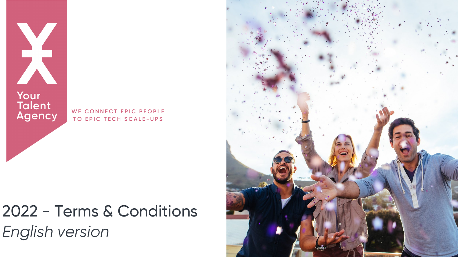

Your<br>Talent<br>Agency

# 2022 - Terms & Conditions *English version*



WE CONNECT EPIC PEOPLE **T O E P I C T E C H S C A L E - U P S**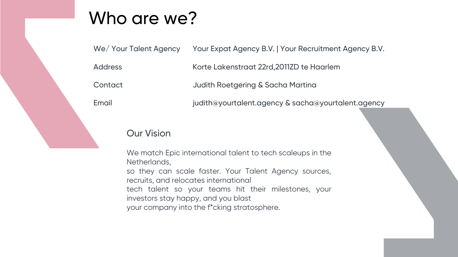# Who are we?

We/ Your Talent Agency

Address

**Contact** 

Email

Korte Lakenstraat 22rd,2011ZD te Haarlem

- Your Expat Agency B.V. | Your Recruitment Agency B.V.
	-
	-
- judith@yourtalent.agency & sacha@yourtalent.agency

- 
- 
- 

Judith Roetgering & Sacha Martina

### Our Vision

We match Epic international talent to tech scaleups in the Netherlands,

so they can scale faster. Your Talent Agency sources, recruits, and relocates international tech talent so your teams hit their milestones, your investors stay happy, and you blast

your company into the f\*cking stratosphere.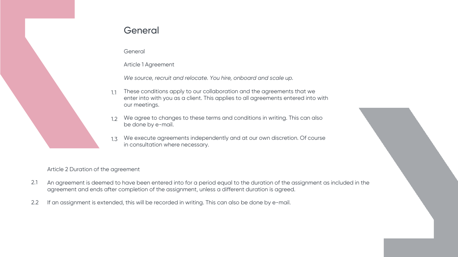

### **General**

**General** 

Article 1 Agreement

*We source, recruit and relocate. You hire, onboard and scale up.*

- These conditions apply to our collaboration and the agreements that we enter into with you as a client. This applies to all agreements entered into with our meetings. 1.1
- We agree to changes to these terms and conditions in writing. This can also be done by e-mail. 1.2
- We execute agreements independently and at our own discretion. Of course in consultation where necessary. 1.3

Article 2 Duration of the agreement

- An agreement is deemed to have been entered into for a period equal to the duration of the assignment as included in the agreement and ends after completion of the assignment, unless a different duration is agreed. 2.1
- If an assignment is extended, this will be recorded in writing. This can also be done by e-mail. 2.2

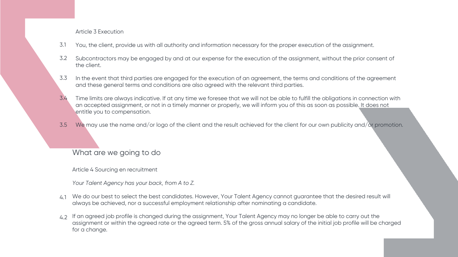Article 3 Execution

- You, the client, provide us with all authority and information necessary for the proper execution of the assignment. 3.1
- Subcontractors may be engaged by and at our expense for the execution of the assignment, without the prior consent of the client. 3.2
- In the event that third parties are engaged for the execution of an agreement, the terms and conditions of the agreement and these general terms and conditions are also agreed with the relevant third parties. 3.3
- Time limits are always indicative. If at any time we foresee that we will not be able to fulfill the obligations in connection with an accepted assignment, or not in a timely manner or properly, we will inform you of this as soon as possible. It does not entitle you to compensation. 3.4
- We may use the name and/or logo of the client and the result achieved for the client for our own publicity and/or promotion. 3.5

What are we going to do

Article 4 Sourcing en recruitment

*Your Talent Agency has your back, from A to Z.*

- We do our best to select the best candidates. However, Your Talent Agency cannot guarantee that the desired result will 4.1 always be achieved, nor a successful employment relationship after nominating a candidate.
- If an agreed job profile is changed during the assignment, Your Talent Agency may no longer be able to carry out the 4.2assignment or within the agreed rate or the agreed term. 5% of the gross annual salary of the initial job profile will be charged for a change.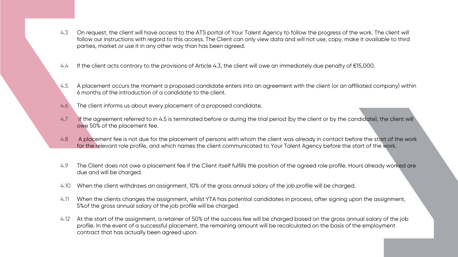- On request, the client will have access to the ATS portal of Your Talent Agency to follow the progress of the work. The client will follow our instructions with regard to this access. The Client can only view data and will not use, copy, make it available to third parties, market or use it in any other way than has been agreed. 4.3
- If the client acts contrary to the provisions of Article 4.3, the client will owe an immediately due penalty of €15,000. 4.4
- A placement occurs the moment a proposed candidate enters into an agreement with the client (or an affiliated company) within 6 months of the introduction of a candidate to the client. 4.5
- The client informs us about every placement of a proposed candidate. 4.6
- If the agreement referred to in 4.5 is terminated before or during the trial period (by the client or by the candidate), the client will owe 50% of the placement fee. 4.7
- A placement fee is not due for the placement of persons with whom the client was already in contact before the start of the work for the relevant role profile, and which names the client communicated to Your Talent Agency before the start of the work. 4.8
- The Client does not owe a placement fee if the Client itself fulfills the position of the agreed role profile. Hours already worked are due and will be charged. 4.9
- When the client withdraws an assignment, 10% of the gross annual salary of the job profile will be charged. 4.10
- When the clients changes the assignment, whilst YTA has potential candidates in process, after signing upon the assignment, 5%of the gross annual salary of the job profile will be charged. 4.11
- At the start of the assignment, a retainer of 50% of the success fee will be charged based on the gross annual salary of the job 4.12profile. In the event of a successful placement, the remaining amount will be recalculated on the basis of the employment contract that has actually been agreed upon.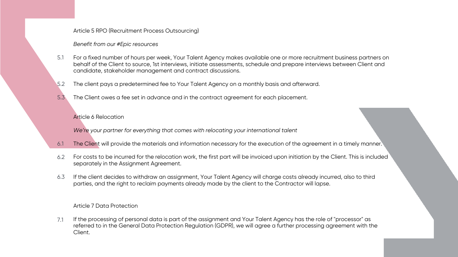Article 5 RPO (Recruitment Process Outsourcing)

#### *Benefit from our #Epic resources*

- For a fixed number of hours per week, Your Talent Agency makes available one or more recruitment business partners on behalf of the Client to source, 1st interviews, initiate assessments, schedule and prepare interviews between Client and candidate, stakeholder management and contract discussions. 5.1
- The client pays a predetermined fee to Your Talent Agency on a monthly basis and afterward. 5.2
- The Client owes a fee set in advance and in the contract agreement for each placement. 5.3

#### Article 6 Relocation

- The Client will provide the materials and information necessary for the execution of the agreement in a timely manner. 6.1
- For costs to be incurred for the relocation work, the first part will be invoiced upon initiation by the Client. This is included separately in the Assignment Agreement. 6.2
- If the client decides to withdraw an assignment, Your Talent Agency will charge costs already incurred, also to third parties, and the right to reclaim payments already made by the client to the Contractor will lapse. 6.3

*We're your partner for everything that comes with relocating your international talent*

#### Article 7 Data Protection

If the processing of personal data is part of the assignment and Your Talent Agency has the role of "processor" as referred to in the General Data Protection Regulation (GDPR), we will agree a further processing agreement with the Client. 7.1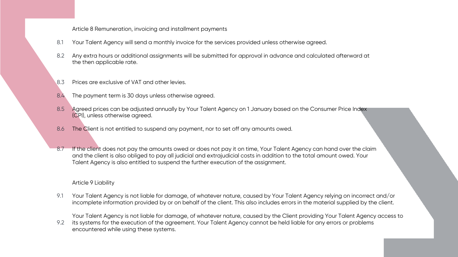Article 8 Remuneration, invoicing and installment payments

- Your Talent Agency will send a monthly invoice for the services provided unless otherwise agreed. 8.1
- Any extra hours or additional assignments will be submitted for approval in advance and calculated afterward at the then applicable rate. 8.2
- Prices are exclusive of VAT and other levies. 8.3
- The payment term is 30 days unless otherwise agreed. 8.4
- Agreed prices can be adjusted annually by Your Talent Agency on 1 January based on the Consumer Price Index (CPI), unless otherwise agreed. 8.5
- The Client is not entitled to suspend any payment, nor to set off any amounts owed. 8.6
- If the client does not pay the amounts owed or does not pay it on time, Your Talent Agency can hand over the claim and the client is also obliged to pay all judicial and extrajudicial costs in addition to the total amount owed. Your Talent Agency is also entitled to suspend the further execution of the assignment. 8.7

#### Article 9 Liability

Your Talent Agency is not liable for damage, of whatever nature, caused by Your Talent Agency relying on incorrect and/or incomplete information provided by or on behalf of the client. This also includes errors in the material supplied by the client. 9.1

Your Talent Agency is not liable for damage, of whatever nature, caused by the Client providing Your Talent Agency access to its systems for the execution of the agreement. Your Talent Agency cannot be held liable for any errors or problems

encountered while using these systems. 9.2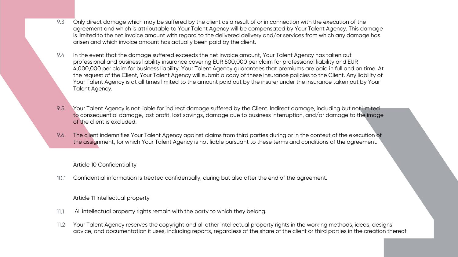- Only direct damage which may be suffered by the client as a result of or in connection with the execution of the agreement and which is attributable to Your Talent Agency will be compensated by Your Talent Agency. This damage is limited to the net invoice amount with regard to the delivered delivery and/or services from which any damage has arisen and which invoice amount has actually been paid by the client. 9.3
- In the event that the damage suffered exceeds the net invoice amount, Your Talent Agency has taken out professional and business liability insurance covering EUR 500,000 per claim for professional liability and EUR 4,000,000 per claim for business liability. Your Talent Agency guarantees that premiums are paid in full and on time. At the request of the Client, Your Talent Agency will submit a copy of these insurance policies to the Client. Any liability of Your Talent Agency is at all times limited to the amount paid out by the insurer under the insurance taken out by Your Talent Agency. 9.4
- Your Talent Agency is not liable for indirect damage suffered by the Client. Indirect damage, including but not limited to consequential damage, lost profit, lost savings, damage due to business interruption, and/or damage to the image of the client is excluded. 9.5
- The client indemnifies Your Talent Agency against claims from third parties during or in the context of the execution of the assignment, for which Your Talent Agency is not liable pursuant to these terms and conditions of the agreement. 9.6

Article 10 Confidentiality

Article 11 Intellectual property

Confidential information is treated confidentially, during but also after the end of the agreement. 10.1

- All intellectual property rights remain with the party to which they belong. 11.1
- Your Talent Agency reserves the copyright and all other intellectual property rights in the working methods, ideas, designs, advice, and documentation it uses, including reports, regardless of the share of the client or third parties in the creation thereof. 11.2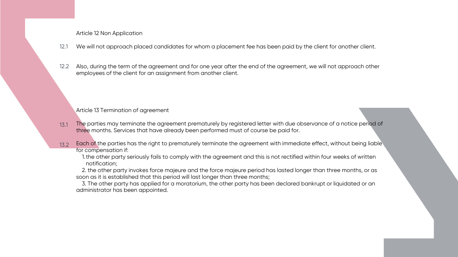Article 12 Non Application

- We will not approach placed candidates for whom a placement fee has been paid by the client for another client. 12.1
- Also, during the term of the agreement and for one year after the end of the agreement, we will not approach other employees of the client for an assignment from another client. 12.2

Article 13 Termination of agreement

- The parties may terminate the agreement prematurely by registered letter with due observance of a notice period of three months. Services that have already been performed must of course be paid for. 13.1
- Each of the parties has the right to prematurely terminate the agreement with immediate effect, without being liable for compensation if: 13.2
	- 1. the other party seriously fails to comply with the agreement and this is not rectified within four weeks of written notification;

2. the other party invokes force majeure and the force majeure period has lasted longer than three months, or as soon as it is established that this period will last longer than three months;

3. The other party has applied for a moratorium, the other party has been declared bankrupt or liquidated or an administrator has been appointed.